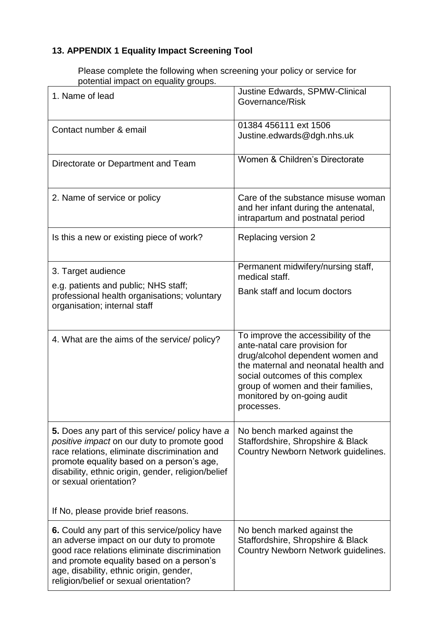## **13. APPENDIX 1 Equality Impact Screening Tool**

Please complete the following when screening your policy or service for potential impact on equality groups.

| 1. Name of lead                                                                                                                                                                                                                                                                                                     | Justine Edwards, SPMW-Clinical<br>Governance/Risk                                                                                                                                                                                                                      |
|---------------------------------------------------------------------------------------------------------------------------------------------------------------------------------------------------------------------------------------------------------------------------------------------------------------------|------------------------------------------------------------------------------------------------------------------------------------------------------------------------------------------------------------------------------------------------------------------------|
| Contact number & email                                                                                                                                                                                                                                                                                              | 01384 456111 ext 1506<br>Justine.edwards@dgh.nhs.uk                                                                                                                                                                                                                    |
| Directorate or Department and Team                                                                                                                                                                                                                                                                                  | Women & Children's Directorate                                                                                                                                                                                                                                         |
| 2. Name of service or policy                                                                                                                                                                                                                                                                                        | Care of the substance misuse woman<br>and her infant during the antenatal,<br>intrapartum and postnatal period                                                                                                                                                         |
| Is this a new or existing piece of work?                                                                                                                                                                                                                                                                            | Replacing version 2                                                                                                                                                                                                                                                    |
| 3. Target audience<br>e.g. patients and public; NHS staff;<br>professional health organisations; voluntary<br>organisation; internal staff                                                                                                                                                                          | Permanent midwifery/nursing staff,<br>medical staff.<br>Bank staff and locum doctors                                                                                                                                                                                   |
| 4. What are the aims of the service/ policy?                                                                                                                                                                                                                                                                        | To improve the accessibility of the<br>ante-natal care provision for<br>drug/alcohol dependent women and<br>the maternal and neonatal health and<br>social outcomes of this complex<br>group of women and their families,<br>monitored by on-going audit<br>processes. |
| 5. Does any part of this service/ policy have a<br>positive impact on our duty to promote good<br>race relations, eliminate discrimination and<br>promote equality based on a person's age,<br>disability, ethnic origin, gender, religion/belief<br>or sexual orientation?<br>If No, please provide brief reasons. | No bench marked against the<br>Staffordshire, Shropshire & Black<br>Country Newborn Network guidelines.                                                                                                                                                                |
|                                                                                                                                                                                                                                                                                                                     |                                                                                                                                                                                                                                                                        |
| <b>6.</b> Could any part of this service/policy have<br>an adverse impact on our duty to promote<br>good race relations eliminate discrimination<br>and promote equality based on a person's<br>age, disability, ethnic origin, gender,<br>religion/belief or sexual orientation?                                   | No bench marked against the<br>Staffordshire, Shropshire & Black<br>Country Newborn Network guidelines.                                                                                                                                                                |